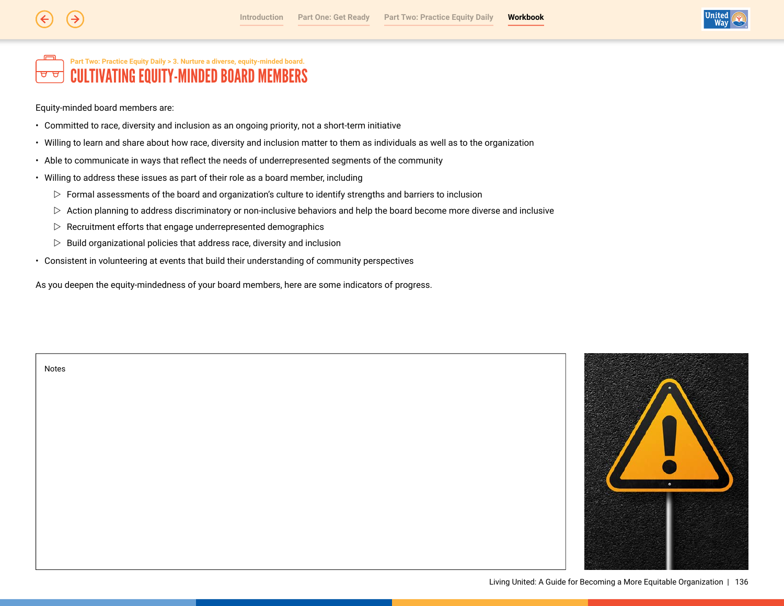

#### Part Two: Practice Equity Daily > 3. Nurture a diverse, equity-minded board. **CULTIVATING EQUITY-MINDED BOARD MEMBERS** ਚ ਚ

Equity-minded board members are:

- Committed to race, diversity and inclusion as an ongoing priority, not a short-term initiative
- Willing to learn and share about how race, diversity and inclusion matter to them as individuals as well as to the organization
- Able to communicate in ways that reflect the needs of underrepresented segments of the community
- Willing to address these issues as part of their role as a board member, including
	- $\triangleright$  Formal assessments of the board and organization's culture to identify strengths and barriers to inclusion
	- ▷ Action planning to address discriminatory or non-inclusive behaviors and help the board become more diverse and inclusive
	- $\triangleright$  Recruitment efforts that engage underrepresented demographics
	- $\triangleright$  Build organizational policies that address race, diversity and inclusion
- Consistent in volunteering at events that build their understanding of community perspectives

As you deepen the equity-mindedness of your board members, here are some indicators of progress.



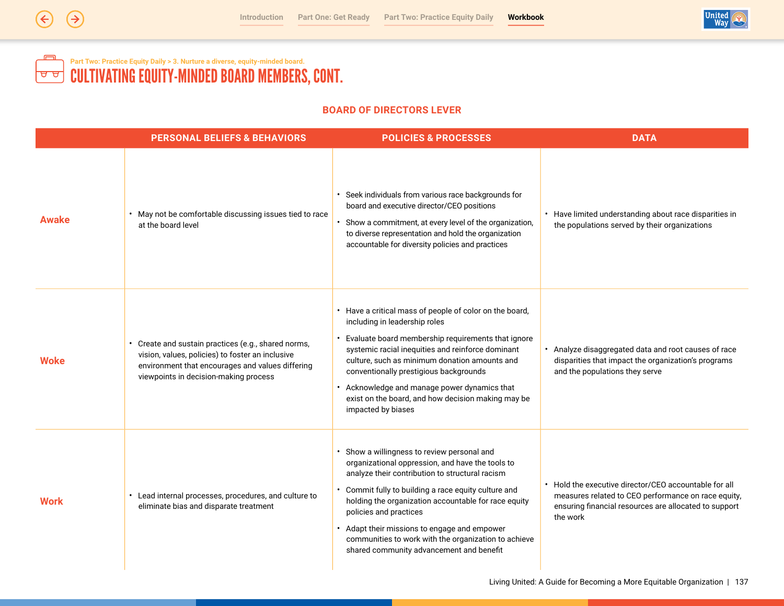

# Part Two: Practice Equity Daily > 3. Nurture a diverse, equity-minded board.<br>CULTIVATING EQUITY-MINDED BOARD MEMBERS, CONT.  $\blacksquare$  $\boxed{\mathtt{a}\mathtt{a}}$

# **BOARD OF DIRECTORS LEVER**

|             | <b>PERSONAL BELIEFS &amp; BEHAVIORS</b>                                                                                                                                                            | <b>POLICIES &amp; PROCESSES</b>                                                                                                                                                                                                                                                                                                                                                                                                                | <b>DATA</b>                                                                                                                                                                       |
|-------------|----------------------------------------------------------------------------------------------------------------------------------------------------------------------------------------------------|------------------------------------------------------------------------------------------------------------------------------------------------------------------------------------------------------------------------------------------------------------------------------------------------------------------------------------------------------------------------------------------------------------------------------------------------|-----------------------------------------------------------------------------------------------------------------------------------------------------------------------------------|
| Awake       | • May not be comfortable discussing issues tied to race<br>at the board level                                                                                                                      | Seek individuals from various race backgrounds for<br>board and executive director/CEO positions<br>Show a commitment, at every level of the organization,<br>to diverse representation and hold the organization<br>accountable for diversity policies and practices                                                                                                                                                                          | • Have limited understanding about race disparities in<br>the populations served by their organizations                                                                           |
| <b>Woke</b> | Create and sustain practices (e.g., shared norms,<br>vision, values, policies) to foster an inclusive<br>environment that encourages and values differing<br>viewpoints in decision-making process | • Have a critical mass of people of color on the board,<br>including in leadership roles<br>Evaluate board membership requirements that ignore<br>systemic racial inequities and reinforce dominant<br>culture, such as minimum donation amounts and<br>conventionally prestigious backgrounds<br>Acknowledge and manage power dynamics that<br>exist on the board, and how decision making may be<br>impacted by biases                       | Analyze disaggregated data and root causes of race<br>disparities that impact the organization's programs<br>and the populations they serve                                       |
| <b>Work</b> | • Lead internal processes, procedures, and culture to<br>eliminate bias and disparate treatment                                                                                                    | • Show a willingness to review personal and<br>organizational oppression, and have the tools to<br>analyze their contribution to structural racism<br>Commit fully to building a race equity culture and<br>holding the organization accountable for race equity<br>policies and practices<br>• Adapt their missions to engage and empower<br>communities to work with the organization to achieve<br>shared community advancement and benefit | • Hold the executive director/CEO accountable for all<br>measures related to CEO performance on race equity,<br>ensuring financial resources are allocated to support<br>the work |